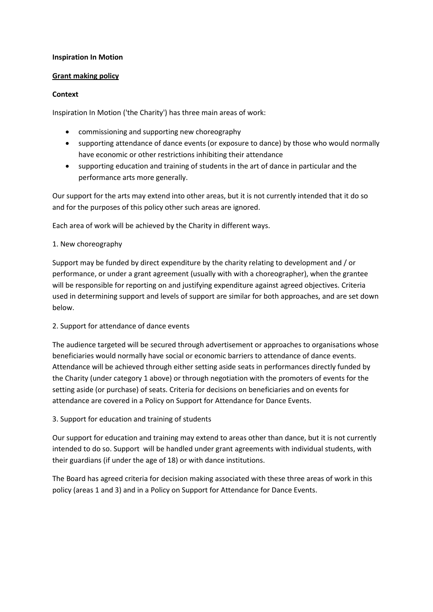### **Inspiration In Motion**

### **Grant making policy**

### **Context**

Inspiration In Motion ('the Charity') has three main areas of work:

- commissioning and supporting new choreography
- supporting attendance of dance events (or exposure to dance) by those who would normally have economic or other restrictions inhibiting their attendance
- supporting education and training of students in the art of dance in particular and the performance arts more generally.

Our support for the arts may extend into other areas, but it is not currently intended that it do so and for the purposes of this policy other such areas are ignored.

Each area of work will be achieved by the Charity in different ways.

## 1. New choreography

Support may be funded by direct expenditure by the charity relating to development and / or performance, or under a grant agreement (usually with with a choreographer), when the grantee will be responsible for reporting on and justifying expenditure against agreed objectives. Criteria used in determining support and levels of support are similar for both approaches, and are set down below.

## 2. Support for attendance of dance events

The audience targeted will be secured through advertisement or approaches to organisations whose beneficiaries would normally have social or economic barriers to attendance of dance events. Attendance will be achieved through either setting aside seats in performances directly funded by the Charity (under category 1 above) or through negotiation with the promoters of events for the setting aside (or purchase) of seats. Criteria for decisions on beneficiaries and on events for attendance are covered in a Policy on Support for Attendance for Dance Events.

## 3. Support for education and training of students

Our support for education and training may extend to areas other than dance, but it is not currently intended to do so. Support will be handled under grant agreements with individual students, with their guardians (if under the age of 18) or with dance institutions.

The Board has agreed criteria for decision making associated with these three areas of work in this policy (areas 1 and 3) and in a Policy on Support for Attendance for Dance Events.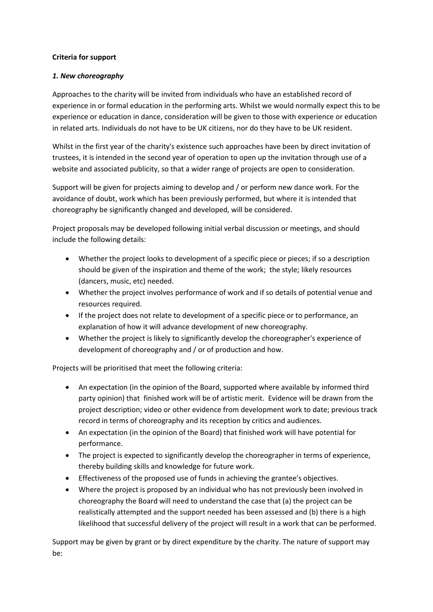### **Criteria for support**

### *1. New choreography*

Approaches to the charity will be invited from individuals who have an established record of experience in or formal education in the performing arts. Whilst we would normally expect this to be experience or education in dance, consideration will be given to those with experience or education in related arts. Individuals do not have to be UK citizens, nor do they have to be UK resident.

Whilst in the first year of the charity's existence such approaches have been by direct invitation of trustees, it is intended in the second year of operation to open up the invitation through use of a website and associated publicity, so that a wider range of projects are open to consideration.

Support will be given for projects aiming to develop and / or perform new dance work. For the avoidance of doubt, work which has been previously performed, but where it is intended that choreography be significantly changed and developed, will be considered.

Project proposals may be developed following initial verbal discussion or meetings, and should include the following details:

- Whether the project looks to development of a specific piece or pieces; if so a description should be given of the inspiration and theme of the work; the style; likely resources (dancers, music, etc) needed.
- Whether the project involves performance of work and if so details of potential venue and resources required.
- If the project does not relate to development of a specific piece or to performance, an explanation of how it will advance development of new choreography.
- Whether the project is likely to significantly develop the choreographer's experience of development of choreography and / or of production and how.

Projects will be prioritised that meet the following criteria:

- An expectation (in the opinion of the Board, supported where available by informed third party opinion) that finished work will be of artistic merit. Evidence will be drawn from the project description; video or other evidence from development work to date; previous track record in terms of choreography and its reception by critics and audiences.
- An expectation (in the opinion of the Board) that finished work will have potential for performance.
- The project is expected to significantly develop the choreographer in terms of experience, thereby building skills and knowledge for future work.
- Effectiveness of the proposed use of funds in achieving the grantee's objectives.
- Where the project is proposed by an individual who has not previously been involved in choreography the Board will need to understand the case that (a) the project can be realistically attempted and the support needed has been assessed and (b) there is a high likelihood that successful delivery of the project will result in a work that can be performed.

Support may be given by grant or by direct expenditure by the charity. The nature of support may be: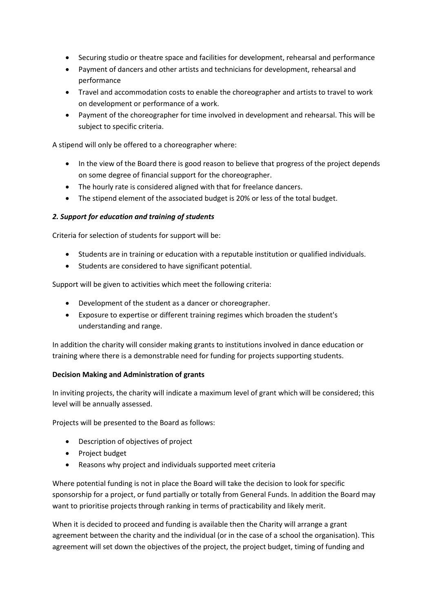- Securing studio or theatre space and facilities for development, rehearsal and performance
- Payment of dancers and other artists and technicians for development, rehearsal and performance
- Travel and accommodation costs to enable the choreographer and artists to travel to work on development or performance of a work.
- Payment of the choreographer for time involved in development and rehearsal. This will be subject to specific criteria.

A stipend will only be offered to a choreographer where:

- In the view of the Board there is good reason to believe that progress of the project depends on some degree of financial support for the choreographer.
- The hourly rate is considered aligned with that for freelance dancers.
- The stipend element of the associated budget is 20% or less of the total budget.

## *2. Support for education and training of students*

Criteria for selection of students for support will be:

- Students are in training or education with a reputable institution or qualified individuals.
- Students are considered to have significant potential.

Support will be given to activities which meet the following criteria:

- Development of the student as a dancer or choreographer.
- Exposure to expertise or different training regimes which broaden the student's understanding and range.

In addition the charity will consider making grants to institutions involved in dance education or training where there is a demonstrable need for funding for projects supporting students.

## **Decision Making and Administration of grants**

In inviting projects, the charity will indicate a maximum level of grant which will be considered; this level will be annually assessed.

Projects will be presented to the Board as follows:

- Description of objectives of project
- Project budget
- Reasons why project and individuals supported meet criteria

Where potential funding is not in place the Board will take the decision to look for specific sponsorship for a project, or fund partially or totally from General Funds. In addition the Board may want to prioritise projects through ranking in terms of practicability and likely merit.

When it is decided to proceed and funding is available then the Charity will arrange a grant agreement between the charity and the individual (or in the case of a school the organisation). This agreement will set down the objectives of the project, the project budget, timing of funding and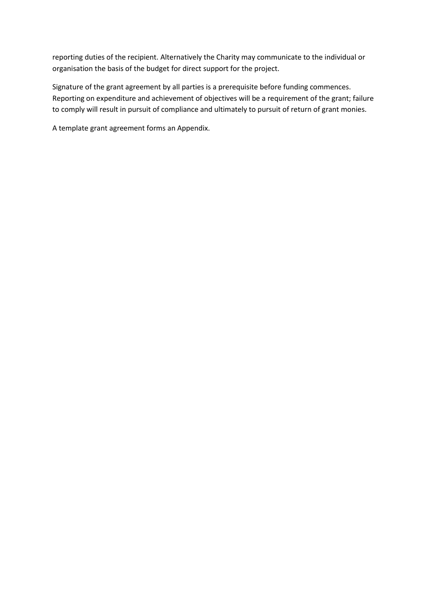reporting duties of the recipient. Alternatively the Charity may communicate to the individual or organisation the basis of the budget for direct support for the project.

Signature of the grant agreement by all parties is a prerequisite before funding commences. Reporting on expenditure and achievement of objectives will be a requirement of the grant; failure to comply will result in pursuit of compliance and ultimately to pursuit of return of grant monies.

A template grant agreement forms an Appendix.